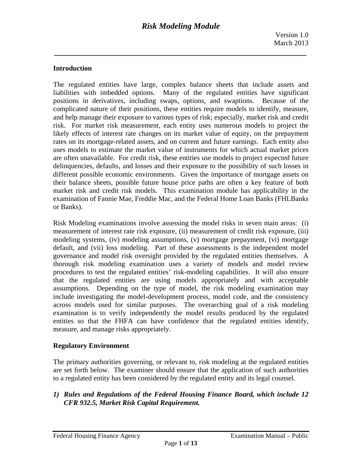# **Introduction**

The regulated entities have large, complex balance sheets that include assets and liabilities with imbedded options. Many of the regulated entities have significant positions in derivatives, including swaps, options, and swaptions. Because of the complicated nature of their positions, these entities require models to identify, measure, and help manage their exposure to various types of risk; especially, market risk and credit risk. For market risk measurement, each entity uses numerous models to project the likely effects of interest rate changes on its market value of equity, on the prepayment rates on its mortgage-related assets, and on current and future earnings. Each entity also uses models to estimate the market value of instruments for which actual market prices are often unavailable. For credit risk, these entities use models to project expected future delinquencies, defaults, and losses and their exposure to the possibility of such losses in different possible economic environments. Given the importance of mortgage assets on their balance sheets, possible future house price paths are often a key feature of both market risk and credit risk models. This examination module has applicability in the examination of Fannie Mae, Freddie Mac, and the Federal Home Loan Banks (FHLBanks or Banks).

Risk Modeling examinations involve assessing the model risks in seven main areas: (i) measurement of interest rate risk exposure, (ii) measurement of credit risk exposure, (iii) modeling systems, (iv) modeling assumptions, (v) mortgage prepayment, (vi) mortgage default, and (vii) loss modeling. Part of these assessments is the independent model governance and model risk oversight provided by the regulated entities themselves. A thorough risk modeling examination uses a variety of models and model review procedures to test the regulated entities' risk-modeling capabilities. It will also ensure that the regulated entities are using models appropriately and with acceptable assumptions. Depending on the type of model, the risk modeling examination may include investigating the model-development process, model code, and the consistency across models used for similar purposes. The overarching goal of a risk modeling examination is to verify independently the model results produced by the regulated entities so that the FHFA can have confidence that the regulated entities identify, measure, and manage risks appropriately.

#### **Regulatory Environment**

The primary authorities governing, or relevant to, risk modeling at the regulated entities are set forth below. The examiner should ensure that the application of such authorities to a regulated entity has been considered by the regulated entity and its legal counsel.

*1) Rules and Regulations of the Federal Housing Finance Board, which include 12 CFR 932.5, Market Risk Capital Requirement.*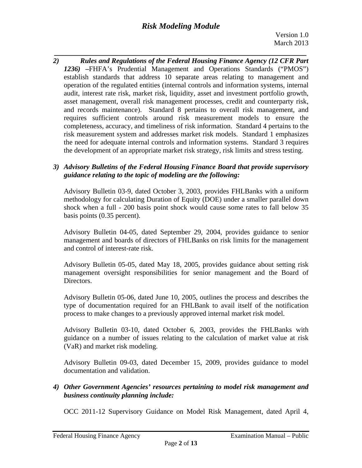# *Risk Modeling Module*

*\_\_\_\_\_\_\_\_\_\_\_\_\_\_\_\_\_\_\_\_\_\_\_\_\_\_\_\_\_\_\_\_\_\_\_\_\_\_\_\_\_\_\_\_\_\_\_\_\_\_\_\_\_\_\_\_\_\_\_\_\_ 2) Rules and Regulations of the Federal Housing Finance Agency (12 CFR Part 1236)* **–**FHFA's Prudential Management and Operations Standards ("PMOS") establish standards that address 10 separate areas relating to management and operation of the regulated entities (internal controls and information systems, internal audit, interest rate risk, market risk, liquidity, asset and investment portfolio growth, asset management, overall risk management processes, credit and counterparty risk, and records maintenance). Standard 8 pertains to overall risk management, and requires sufficient controls around risk measurement models to ensure the completeness, accuracy, and timeliness of risk information. Standard 4 pertains to the risk measurement system and addresses market risk models. Standard 1 emphasizes the need for adequate internal controls and information systems. Standard 3 requires the development of an appropriate market risk strategy, risk limits and stress testing.

# *3) Advisory Bulletins of the Federal Housing Finance Board that provide supervisory guidance relating to the topic of modeling are the following:*

Advisory Bulletin 03-9, dated October 3, 2003, provides FHLBanks with a uniform methodology for calculating Duration of Equity (DOE) under a smaller parallel down shock when a full - 200 basis point shock would cause some rates to fall below 35 basis points (0.35 percent).

Advisory Bulletin 04-05, dated September 29, 2004, provides guidance to senior management and boards of directors of FHLBanks on risk limits for the management and control of interest-rate risk.

Advisory Bulletin 05-05, dated May 18, 2005, provides guidance about setting risk management oversight responsibilities for senior management and the Board of Directors.

Advisory Bulletin 05-06, dated June 10, 2005, outlines the process and describes the type of documentation required for an FHLBank to avail itself of the notification process to make changes to a previously approved internal market risk model.

Advisory Bulletin 03-10, dated October 6, 2003, provides the FHLBanks with guidance on a number of issues relating to the calculation of market value at risk (VaR) and market risk modeling.

Advisory Bulletin 09-03, dated December 15, 2009, provides guidance to model documentation and validation.

# *4) Other Government Agencies' resources pertaining to model risk management and business continuity planning include:*

OCC 2011-12 Supervisory Guidance on Model Risk Management, dated April 4,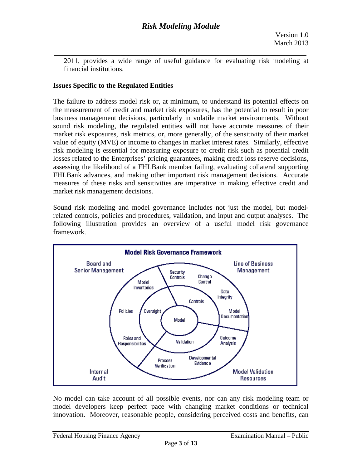*\_\_\_\_\_\_\_\_\_\_\_\_\_\_\_\_\_\_\_\_\_\_\_\_\_\_\_\_\_\_\_\_\_\_\_\_\_\_\_\_\_\_\_\_\_\_\_\_\_\_\_\_\_\_\_\_\_\_\_\_\_*  2011, provides a wide range of useful guidance for evaluating risk modeling at financial institutions.

# **Issues Specific to the Regulated Entities**

The failure to address model risk or, at minimum, to understand its potential effects on the measurement of credit and market risk exposures, has the potential to result in poor business management decisions, particularly in volatile market environments. Without sound risk modeling, the regulated entities will not have accurate measures of their market risk exposures, risk metrics, or, more generally, of the sensitivity of their market value of equity (MVE) or income to changes in market interest rates. Similarly, effective risk modeling is essential for measuring exposure to credit risk such as potential credit losses related to the Enterprises' pricing guarantees, making credit loss reserve decisions, assessing the likelihood of a FHLBank member failing, evaluating collateral supporting FHLBank advances, and making other important risk management decisions. Accurate measures of these risks and sensitivities are imperative in making effective credit and market risk management decisions.

Sound risk modeling and model governance includes not just the model, but modelrelated controls, policies and procedures, validation, and input and output analyses. The following illustration provides an overview of a useful model risk governance framework.



No model can take account of all possible events, nor can any risk modeling team or model developers keep perfect pace with changing market conditions or technical innovation. Moreover, reasonable people, considering perceived costs and benefits, can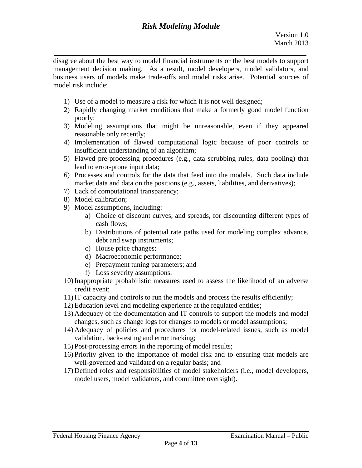*\_\_\_\_\_\_\_\_\_\_\_\_\_\_\_\_\_\_\_\_\_\_\_\_\_\_\_\_\_\_\_\_\_\_\_\_\_\_\_\_\_\_\_\_\_\_\_\_\_\_\_\_\_\_\_\_\_\_\_\_\_*  disagree about the best way to model financial instruments or the best models to support management decision making. As a result, model developers, model validators, and business users of models make trade-offs and model risks arise. Potential sources of model risk include:

- 1) Use of a model to measure a risk for which it is not well designed;
- 2) Rapidly changing market conditions that make a formerly good model function poorly;
- 3) Modeling assumptions that might be unreasonable, even if they appeared reasonable only recently;
- 4) Implementation of flawed computational logic because of poor controls or insufficient understanding of an algorithm;
- 5) Flawed pre-processing procedures (e.g., data scrubbing rules, data pooling) that lead to error-prone input data;
- 6) Processes and controls for the data that feed into the models. Such data include market data and data on the positions (e.g., assets, liabilities, and derivatives);
- 7) Lack of computational transparency;
- 8) Model calibration;
- 9) Model assumptions, including:
	- a) Choice of discount curves, and spreads, for discounting different types of cash flows;
	- b) Distributions of potential rate paths used for modeling complex advance, debt and swap instruments;
	- c) House price changes;
	- d) Macroeconomic performance;
	- e) Prepayment tuning parameters; and
	- f) Loss severity assumptions.
- 10) Inappropriate probabilistic measures used to assess the likelihood of an adverse credit event;
- 11) IT capacity and controls to run the models and process the results efficiently;
- 12) Education level and modeling experience at the regulated entities;
- 13) Adequacy of the documentation and IT controls to support the models and model changes, such as change logs for changes to models or model assumptions;
- 14) Adequacy of policies and procedures for model-related issues, such as model validation, back-testing and error tracking;
- 15) Post-processing errors in the reporting of model results;
- 16) Priority given to the importance of model risk and to ensuring that models are well-governed and validated on a regular basis; and
- 17) Defined roles and responsibilities of model stakeholders (i.e., model developers, model users, model validators, and committee oversight).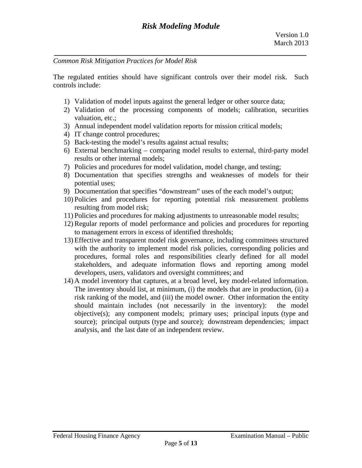*Common Risk Mitigation Practices for Model Risk* 

The regulated entities should have significant controls over their model risk. Such controls include:

- 1) Validation of model inputs against the general ledger or other source data;
- 2) Validation of the processing components of models; calibration, securities valuation, etc.;
- 3) Annual independent model validation reports for mission critical models;
- 4) IT change control procedures;
- 5) Back-testing the model's results against actual results;
- 6) External benchmarking comparing model results to external, third-party model results or other internal models;
- 7) Policies and procedures for model validation, model change, and testing;
- 8) Documentation that specifies strengths and weaknesses of models for their potential uses;
- 9) Documentation that specifies "downstream" uses of the each model's output;
- 10) Policies and procedures for reporting potential risk measurement problems resulting from model risk;
- 11) Policies and procedures for making adjustments to unreasonable model results;
- 12) Regular reports of model performance and policies and procedures for reporting to management errors in excess of identified thresholds;
- 13) Effective and transparent model risk governance, including committees structured with the authority to implement model risk policies, corresponding policies and procedures, formal roles and responsibilities clearly defined for all model stakeholders, and adequate information flows and reporting among model developers, users, validators and oversight committees; and
- 14) A model inventory that captures, at a broad level, key model-related information. The inventory should list, at minimum, (i) the models that are in production, (ii) a risk ranking of the model, and (iii) the model owner. Other information the entity should maintain includes (not necessarily in the inventory): the model objective(s); any component models; primary uses; principal inputs (type and source); principal outputs (type and source); downstream dependencies; impact analysis, and the last date of an independent review.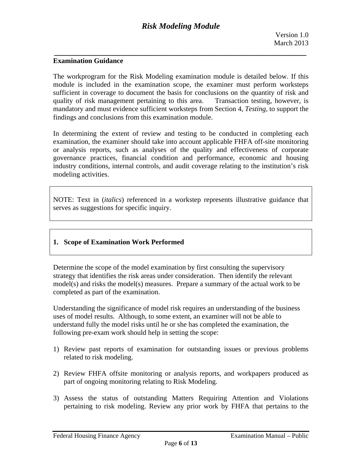#### **Examination Guidance**

The workprogram for the Risk Modeling examination module is detailed below. If this module is included in the examination scope, the examiner must perform worksteps sufficient in coverage to document the basis for conclusions on the quantity of risk and quality of risk management pertaining to this area. Transaction testing, however, is mandatory and must evidence sufficient worksteps from Section 4, *Testing,* to support the findings and conclusions from this examination module.

In determining the extent of review and testing to be conducted in completing each examination, the examiner should take into account applicable FHFA off-site monitoring or analysis reports, such as analyses of the quality and effectiveness of corporate governance practices, financial condition and performance, economic and housing industry conditions, internal controls, and audit coverage relating to the institution's risk modeling activities.

NOTE: Text in (*italics*) referenced in a workstep represents illustrative guidance that serves as suggestions for specific inquiry.

# **1. Scope of Examination Work Performed**

Determine the scope of the model examination by first consulting the supervisory strategy that identifies the risk areas under consideration. Then identify the relevant model(s) and risks the model(s) measures. Prepare a summary of the actual work to be completed as part of the examination.

Understanding the significance of model risk requires an understanding of the business uses of model results. Although, to some extent, an examiner will not be able to understand fully the model risks until he or she has completed the examination, the following pre-exam work should help in setting the scope:

- 1) Review past reports of examination for outstanding issues or previous problems related to risk modeling.
- 2) Review FHFA offsite monitoring or analysis reports, and workpapers produced as part of ongoing monitoring relating to Risk Modeling.
- 3) Assess the status of outstanding Matters Requiring Attention and Violations pertaining to risk modeling. Review any prior work by FHFA that pertains to the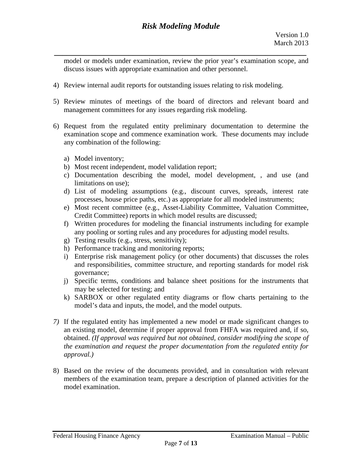model or models under examination, review the prior year's examination scope, and discuss issues with appropriate examination and other personnel.

- 4) Review internal audit reports for outstanding issues relating to risk modeling.
- 5) Review minutes of meetings of the board of directors and relevant board and management committees for any issues regarding risk modeling.
- 6) Request from the regulated entity preliminary documentation to determine the examination scope and commence examination work. These documents may include any combination of the following:
	- a) Model inventory;
	- b) Most recent independent, model validation report;
	- c) Documentation describing the model, model development, , and use (and limitations on use);
	- d) List of modeling assumptions (e.g., discount curves, spreads, interest rate processes, house price paths, etc.) as appropriate for all modeled instruments;
	- e) Most recent committee (e.g., Asset-Liability Committee, Valuation Committee, Credit Committee) reports in which model results are discussed;
	- f) Written procedures for modeling the financial instruments including for example any pooling or sorting rules and any procedures for adjusting model results.
	- g) Testing results (e.g., stress, sensitivity);
	- h) Performance tracking and monitoring reports;
	- i) Enterprise risk management policy (or other documents) that discusses the roles and responsibilities, committee structure, and reporting standards for model risk governance;
	- j) Specific terms, conditions and balance sheet positions for the instruments that may be selected for testing; and
	- k) SARBOX or other regulated entity diagrams or flow charts pertaining to the model's data and inputs, the model, and the model outputs.
- *approval.) 7)* If the regulated entity has implemented a new model or made significant changes to an existing model, determine if proper approval from FHFA was required and, if so, obtained. *(If approval was required but not obtained, consider modifying the scope of the examination and request the proper documentation from the regulated entity for*
- 8) Based on the review of the documents provided, and in consultation with relevant members of the examination team, prepare a description of planned activities for the model examination.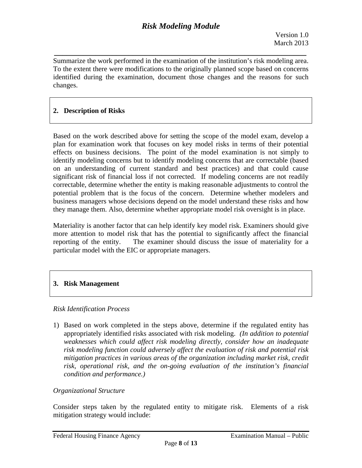Summarize the work performed in the examination of the institution's risk modeling area. To the extent there were modifications to the originally planned scope based on concerns identified during the examination, document those changes and the reasons for such changes.

*\_\_\_\_\_\_\_\_\_\_\_\_\_\_\_\_\_\_\_\_\_\_\_\_\_\_\_\_\_\_\_\_\_\_\_\_\_\_\_\_\_\_\_\_\_\_\_\_\_\_\_\_\_\_\_\_\_\_\_\_\_* 

# **2. Description of Risks**

Based on the work described above for setting the scope of the model exam, develop a plan for examination work that focuses on key model risks in terms of their potential effects on business decisions. The point of the model examination is not simply to identify modeling concerns but to identify modeling concerns that are correctable (based on an understanding of current standard and best practices) and that could cause significant risk of financial loss if not corrected. If modeling concerns are not readily correctable, determine whether the entity is making reasonable adjustments to control the potential problem that is the focus of the concern. Determine whether modelers and business managers whose decisions depend on the model understand these risks and how they manage them. Also, determine whether appropriate model risk oversight is in place.

Materiality is another factor that can help identify key model risk. Examiners should give more attention to model risk that has the potential to significantly affect the financial reporting of the entity. The examiner should discuss the issue of materiality for a particular model with the EIC or appropriate managers.

# **3. Risk Management**

# *Risk Identification Process*

 *condition and performance.) Organizational Structure*  1) Based on work completed in the steps above, determine if the regulated entity has appropriately identified risks associated with risk modeling. *(In addition to potential weaknesses which could affect risk modeling directly, consider how an inadequate risk modeling function could adversely affect the evaluation of risk and potential risk mitigation practices in various areas of the organization including market risk, credit risk, operational risk, and the on-going evaluation of the institution's financial* 

Consider steps taken by the regulated entity to mitigate risk. Elements of a risk mitigation strategy would include: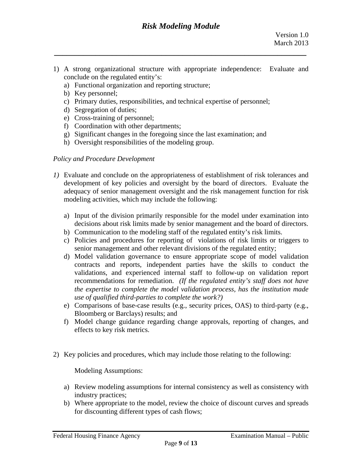1) A strong organizational structure with appropriate independence: Evaluate and conclude on the regulated entity's:

*\_\_\_\_\_\_\_\_\_\_\_\_\_\_\_\_\_\_\_\_\_\_\_\_\_\_\_\_\_\_\_\_\_\_\_\_\_\_\_\_\_\_\_\_\_\_\_\_\_\_\_\_\_\_\_\_\_\_\_\_\_* 

- a) Functional organization and reporting structure;
- b) Key personnel;
- c) Primary duties, responsibilities, and technical expertise of personnel;
- d) Segregation of duties;
- e) Cross-training of personnel;
- f) Coordination with other departments;
- g) Significant changes in the foregoing since the last examination; and
- h) Oversight responsibilities of the modeling group.

# *Policy and Procedure Development*

- *1*) Evaluate and conclude on the appropriateness of establishment of risk tolerances and development of key policies and oversight by the board of directors. Evaluate the adequacy of senior management oversight and the risk management function for risk modeling activities, which may include the following:
	- a) Input of the division primarily responsible for the model under examination into decisions about risk limits made by senior management and the board of directors.
	- b) Communication to the modeling staff of the regulated entity's risk limits.
	- c) Policies and procedures for reporting of violations of risk limits or triggers to senior management and other relevant divisions of the regulated entity;
	- *use of qualified third-parties to complete the work?)* d) Model validation governance to ensure appropriate scope of model validation contracts and reports, independent parties have the skills to conduct the validations, and experienced internal staff to follow-up on validation report recommendations for remediation. *(If the regulated entity's staff does not have the expertise to complete the model validation process, has the institution made*
	- e) Comparisons of base-case results (e.g., security prices, OAS) to third-party (e.g., Bloomberg or Barclays) results; and
	- f) Model change guidance regarding change approvals, reporting of changes, and effects to key risk metrics.
- 2) Key policies and procedures, which may include those relating to the following:

Modeling Assumptions:

- a) Review modeling assumptions for internal consistency as well as consistency with industry practices;
- b) Where appropriate to the model, review the choice of discount curves and spreads for discounting different types of cash flows;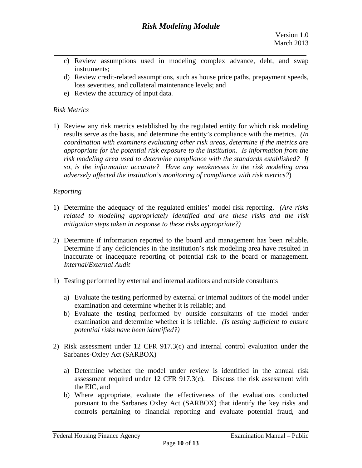- *\_\_\_\_\_\_\_\_\_\_\_\_\_\_\_\_\_\_\_\_\_\_\_\_\_\_\_\_\_\_\_\_\_\_\_\_\_\_\_\_\_\_\_\_\_\_\_\_\_\_\_\_\_\_\_\_\_\_\_\_\_*  c) Review assumptions used in modeling complex advance, debt, and swap instruments;
	- d) Review credit-related assumptions, such as house price paths, prepayment speeds, loss severities, and collateral maintenance levels; and
	- e) Review the accuracy of input data.

# *Risk Metrics*

1) Review any risk metrics established by the regulated entity for which risk modeling results serve as the basis, and determine the entity's compliance with the metrics. *(In coordination with examiners evaluating other risk areas, determine if the metrics are appropriate for the potential risk exposure to the institution. Is information from the risk modeling area used to determine compliance with the standards established? If so, is the information accurate? Have any weaknesses in the risk modeling area adversely affected the institution's monitoring of compliance with risk metrics?*)

# *Reporting*

- *mitigation steps taken in response to these risks appropriate?)* 1) Determine the adequacy of the regulated entities' model risk reporting. *(Are risks related to modeling appropriately identified and are these risks and the risk*
- 2) Determine if information reported to the board and management has been reliable. Determine if any deficiencies in the institution's risk modeling area have resulted in inaccurate or inadequate reporting of potential risk to the board or management. *Internal/External Audit*
- 1) Testing performed by external and internal auditors and outside consultants
	- a) Evaluate the testing performed by external or internal auditors of the model under examination and determine whether it is reliable; and
	- b) Evaluate the testing performed by outside consultants of the model under examination and determine whether it is reliable. *(Is testing sufficient to ensure potential risks have been identified?)*
- 2) Risk assessment under 12 CFR  $917.3(c)$  and internal control evaluation under the Sarbanes-Oxley Act (SARBOX)
	- a) Determine whether the model under review is identified in the annual risk assessment required under 12 CFR 917.3(c). Discuss the risk assessment with the EIC, and
	- b) Where appropriate, evaluate the effectiveness of the evaluations conducted pursuant to the Sarbanes Oxley Act (SARBOX) that identify the key risks and controls pertaining to financial reporting and evaluate potential fraud, and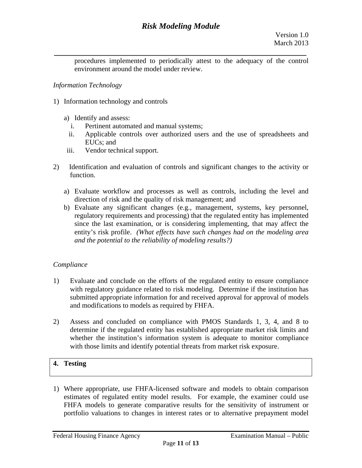*\_\_\_\_\_\_\_\_\_\_\_\_\_\_\_\_\_\_\_\_\_\_\_\_\_\_\_\_\_\_\_\_\_\_\_\_\_\_\_\_\_\_\_\_\_\_\_\_\_\_\_\_\_\_\_\_\_\_\_\_\_*  procedures implemented to periodically attest to the adequacy of the control environment around the model under review.

# *Information Technology*

- 1) Information technology and controls
	- a) Identify and assess:
		- i. Pertinent automated and manual systems;
		- ii. Applicable controls over authorized users and the use of spreadsheets and EUCs; and
	- iii. Vendor technical support.
- 2) Identification and evaluation of controls and significant changes to the activity or function.
	- a) Evaluate workflow and processes as well as controls, including the level and direction of risk and the quality of risk management; and
- *and the potential to the reliability of modeling results?) Compliance*  b) Evaluate any significant changes (e.g., management, systems, key personnel, regulatory requirements and processing) that the regulated entity has implemented since the last examination, or is considering implementing, that may affect the entity's risk profile. *(What effects have such changes had on the modeling area*

- 1) Evaluate and conclude on the efforts of the regulated entity to ensure compliance with regulatory guidance related to risk modeling. Determine if the institution has submitted appropriate information for and received approval for approval of models and modifications to models as required by FHFA.
- 2) Assess and concluded on compliance with PMOS Standards 1, 3, 4, and 8 to determine if the regulated entity has established appropriate market risk limits and whether the institution's information system is adequate to monitor compliance with those limits and identify potential threats from market risk exposure.

# **4. Testing**

1) Where appropriate, use FHFA-licensed software and models to obtain comparison estimates of regulated entity model results. For example, the examiner could use FHFA models to generate comparative results for the sensitivity of instrument or portfolio valuations to changes in interest rates or to alternative prepayment model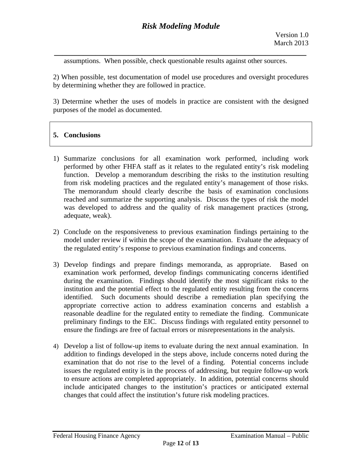assumptions. When possible, check questionable results against other sources.

2) When possible, test documentation of model use procedures and oversight procedures by determining whether they are followed in practice.

3) Determine whether the uses of models in practice are consistent with the designed purposes of the model as documented.

# **5. Conclusions**

- 1) Summarize conclusions for all examination work performed, including work performed by other FHFA staff as it relates to the regulated entity's risk modeling function. Develop a memorandum describing the risks to the institution resulting from risk modeling practices and the regulated entity's management of those risks. The memorandum should clearly describe the basis of examination conclusions reached and summarize the supporting analysis. Discuss the types of risk the model was developed to address and the quality of risk management practices (strong, adequate, weak).
- 2) Conclude on the responsiveness to previous examination findings pertaining to the model under review if within the scope of the examination. Evaluate the adequacy of the regulated entity's response to previous examination findings and concerns.
- 3) Develop findings and prepare findings memoranda, as appropriate. Based on examination work performed, develop findings communicating concerns identified during the examination. Findings should identify the most significant risks to the institution and the potential effect to the regulated entity resulting from the concerns identified. Such documents should describe a remediation plan specifying the appropriate corrective action to address examination concerns and establish a reasonable deadline for the regulated entity to remediate the finding. Communicate preliminary findings to the EIC. Discuss findings with regulated entity personnel to ensure the findings are free of factual errors or misrepresentations in the analysis.
- 4) Develop a list of follow-up items to evaluate during the next annual examination. In addition to findings developed in the steps above, include concerns noted during the examination that do not rise to the level of a finding. Potential concerns include issues the regulated entity is in the process of addressing, but require follow-up work to ensure actions are completed appropriately. In addition, potential concerns should include anticipated changes to the institution's practices or anticipated external changes that could affect the institution's future risk modeling practices.